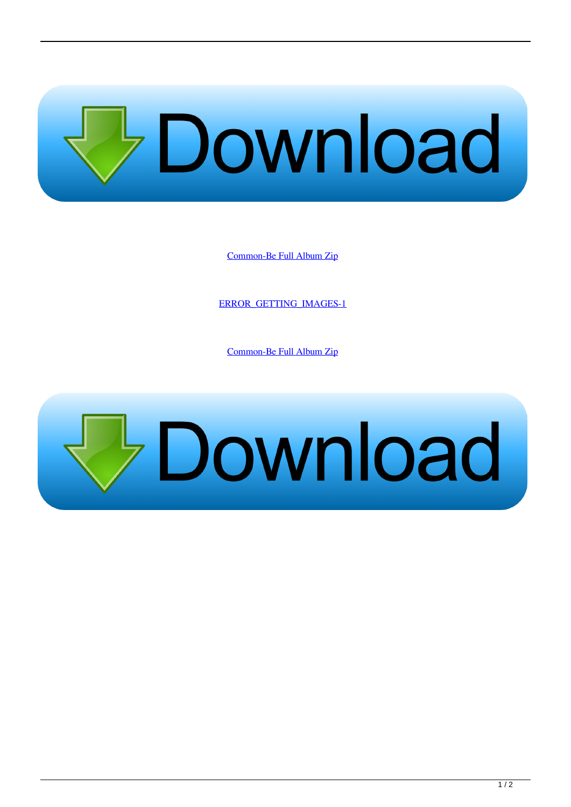

[Common-Be Full Album Zip](http://bytlly.com/17w55c)

[ERROR\\_GETTING\\_IMAGES-1](http://bytlly.com/17w55c)

[Common-Be Full Album Zip](http://bytlly.com/17w55c)

## **Bownload**